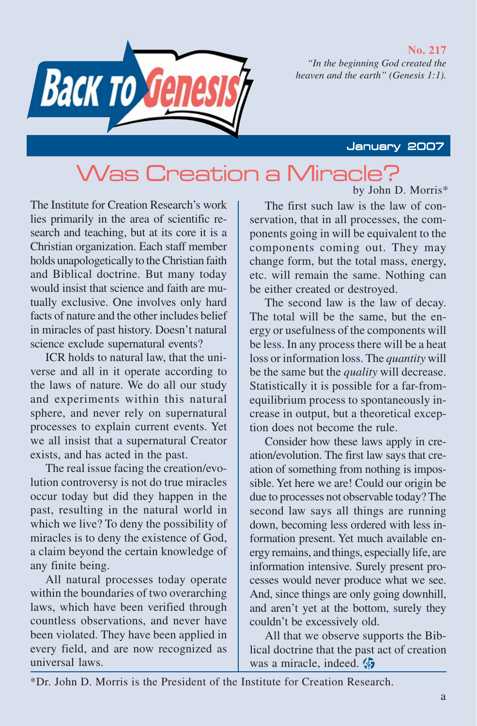#### **No. 217**

*"In the beginning God created the heaven and the earth" (Genesis 1:1).*

# Васк то

#### January 2007

## by John D. Morris\* Was Creation a Miracle?

The Institute for Creation Research's work lies primarily in the area of scientific research and teaching, but at its core it is a Christian organization. Each staff member holds unapologetically to the Christian faith and Biblical doctrine. But many today would insist that science and faith are mutually exclusive. One involves only hard facts of nature and the other includes belief in miracles of past history. Doesn't natural science exclude supernatural events?

ICR holds to natural law, that the universe and all in it operate according to the laws of nature. We do all our study and experiments within this natural sphere, and never rely on supernatural processes to explain current events. Yet we all insist that a supernatural Creator exists, and has acted in the past.

The real issue facing the creation/evolution controversy is not do true miracles occur today but did they happen in the past, resulting in the natural world in which we live? To deny the possibility of miracles is to deny the existence of God, a claim beyond the certain knowledge of any finite being.

All natural processes today operate within the boundaries of two overarching laws, which have been verified through countless observations, and never have been violated. They have been applied in every field, and are now recognized as universal laws.

The first such law is the law of conservation, that in all processes, the components going in will be equivalent to the components coming out. They may change form, but the total mass, energy, etc. will remain the same. Nothing can be either created or destroyed.

The second law is the law of decay. The total will be the same, but the energy or usefulness of the components will be less. In any process there will be a heat loss or information loss. The *quantity* will be the same but the *quality* will decrease. Statistically it is possible for a far-fromequilibrium process to spontaneously increase in output, but a theoretical exception does not become the rule.

Consider how these laws apply in creation/evolution. The first law says that creation of something from nothing is impossible. Yet here we are! Could our origin be due to processes not observable today? The second law says all things are running down, becoming less ordered with less information present. Yet much available energy remains, and things, especially life, are information intensive. Surely present processes would never produce what we see. And, since things are only going downhill, and aren't yet at the bottom, surely they couldn't be excessively old.

All that we observe supports the Biblical doctrine that the past act of creation was a miracle, indeed.

\*Dr. John D. Morris is the President of the Institute for Creation Research.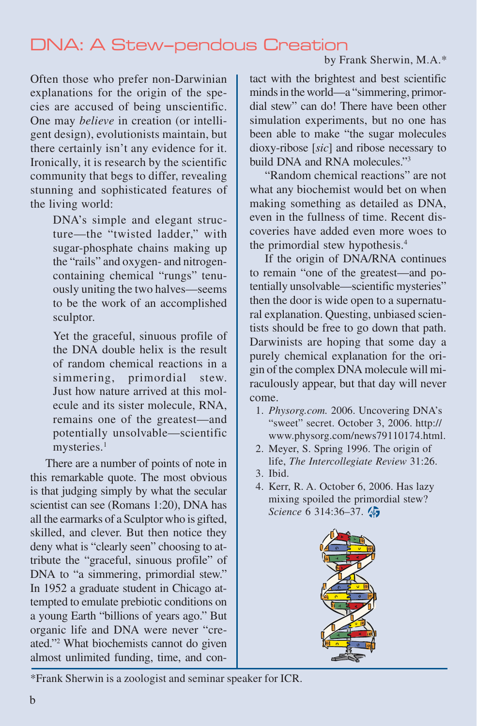## DNA: A Stew–pendous Creation

#### by Frank Sherwin, M.A.\*

Often those who prefer non-Darwinian explanations for the origin of the species are accused of being unscientific. One may *believe* in creation (or intelligent design), evolutionists maintain, but there certainly isn't any evidence for it. Ironically, it is research by the scientific community that begs to differ, revealing stunning and sophisticated features of the living world:

> DNA's simple and elegant structure—the "twisted ladder," with sugar-phosphate chains making up the "rails" and oxygen- and nitrogencontaining chemical "rungs" tenuously uniting the two halves—seems to be the work of an accomplished sculptor.

> Yet the graceful, sinuous profile of the DNA double helix is the result of random chemical reactions in a simmering, primordial stew. Just how nature arrived at this molecule and its sister molecule, RNA, remains one of the greatest—and potentially unsolvable—scientific mysteries.<sup>1</sup>

There are a number of points of note in this remarkable quote. The most obvious is that judging simply by what the secular scientist can see (Romans 1:20), DNA has all the earmarks of a Sculptor who is gifted, skilled, and clever. But then notice they deny what is "clearly seen" choosing to attribute the "graceful, sinuous profile" of DNA to "a simmering, primordial stew." In 1952 a graduate student in Chicago attempted to emulate prebiotic conditions on a young Earth "billions of years ago." But organic life and DNA were never "created."2 What biochemists cannot do given almost unlimited funding, time, and con-

tact with the brightest and best scientific minds in the world—a "simmering, primordial stew" can do! There have been other simulation experiments, but no one has been able to make "the sugar molecules dioxy-ribose [*sic*] and ribose necessary to build DNA and RNA molecules."3

"Random chemical reactions" are not what any biochemist would bet on when making something as detailed as DNA, even in the fullness of time. Recent discoveries have added even more woes to the primordial stew hypothesis.4

If the origin of DNA/RNA continues to remain "one of the greatest—and potentially unsolvable—scientific mysteries" then the door is wide open to a supernatural explanation. Questing, unbiased scientists should be free to go down that path. Darwinists are hoping that some day a purely chemical explanation for the origin of the complex DNA molecule will miraculously appear, but that day will never come.

- 1. *Physorg.com.* 2006. Uncovering DNA's "sweet" secret. October 3, 2006. http:// www.physorg.com/news79110174.html.
- 2. Meyer, S. Spring 1996. The origin of life, *The Intercollegiate Review* 31:26.
- 3. Ibid.
- 4. Kerr, R. A. October 6, 2006. Has lazy mixing spoiled the primordial stew? *Science* 6 314:36–37.



\*Frank Sherwin is a zoologist and seminar speaker for ICR.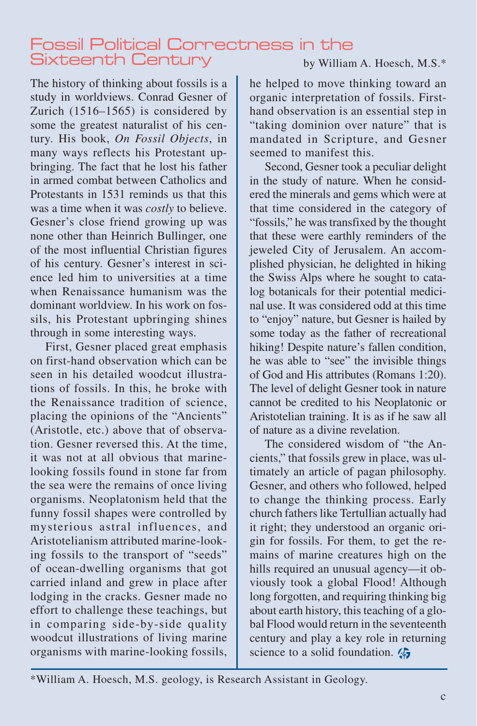## Fossil Political Correctness in the Sixteenth Century

The history of thinking about fossils is a study in worldviews. Conrad Gesner of Zurich (1516–1565) is considered by some the greatest naturalist of his century. His book, *On Fossil Objects*, in many ways reflects his Protestant upbringing. The fact that he lost his father in armed combat between Catholics and Protestants in 1531 reminds us that this was a time when it was *costly* to believe. Gesner's close friend growing up was none other than Heinrich Bullinger, one of the most influential Christian figures of his century. Gesner's interest in science led him to universities at a time when Renaissance humanism was the dominant worldview. In his work on fossils, his Protestant upbringing shines through in some interesting ways.

First, Gesner placed great emphasis on first-hand observation which can be seen in his detailed woodcut illustrations of fossils. In this, he broke with the Renaissance tradition of science, placing the opinions of the "Ancients" (Aristotle, etc.) above that of observation. Gesner reversed this. At the time, it was not at all obvious that marinelooking fossils found in stone far from the sea were the remains of once living organisms. Neoplatonism held that the funny fossil shapes were controlled by mysterious astral influences, and Aristotelianism attributed marine-looking fossils to the transport of "seeds" of ocean-dwelling organisms that got carried inland and grew in place after lodging in the cracks. Gesner made no effort to challenge these teachings, but in comparing side-by-side quality woodcut illustrations of living marine organisms with marine-looking fossils,

he helped to move thinking toward an organic interpretation of fossils. Firsthand observation is an essential step in "taking dominion over nature" that is mandated in Scripture, and Gesner seemed to manifest this.

Second, Gesner took a peculiar delight in the study of nature. When he considered the minerals and gems which were at that time considered in the category of "fossils," he was transfixed by the thought that these were earthly reminders of the jeweled City of Jerusalem. An accomplished physician, he delighted in hiking the Swiss Alps where he sought to catalog botanicals for their potential medicinal use. It was considered odd at this time to "enjoy" nature, but Gesner is hailed by some today as the father of recreational hiking! Despite nature's fallen condition, he was able to "see" the invisible things of God and His attributes (Romans 1:20). The level of delight Gesner took in nature cannot be credited to his Neoplatonic or Aristotelian training. It is as if he saw all of nature as a divine revelation.

The considered wisdom of "the Ancients," that fossils grew in place, was ultimately an article of pagan philosophy. Gesner, and others who followed, helped to change the thinking process. Early church fathers like Tertullian actually had it right; they understood an organic origin for fossils. For them, to get the remains of marine creatures high on the hills required an unusual agency—it obviously took a global Flood! Although long forgotten, and requiring thinking big about earth history, this teaching of a global Flood would return in the seventeenth century and play a key role in returning science to a solid foundation.

\*William A. Hoesch, M.S. geology, is Research Assistant in Geology.

### by William A. Hoesch, M.S.\*